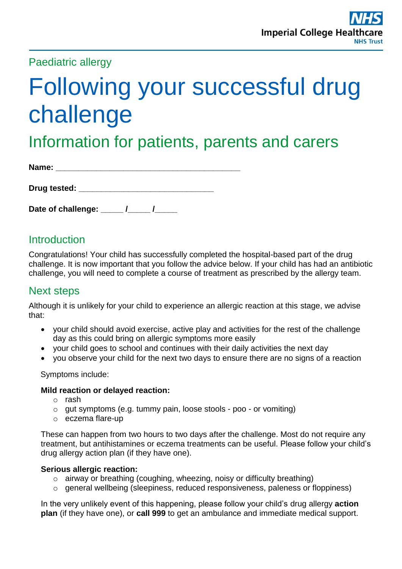## Paediatric allergy

# Following your successful drug challenge

## Information for patients, parents and carers

| Name: |  |  |  |
|-------|--|--|--|
|       |  |  |  |

| Date of challenge: |  |
|--------------------|--|
|--------------------|--|

## **Introduction**

Congratulations! Your child has successfully completed the hospital-based part of the drug challenge. It is now important that you follow the advice below. If your child has had an antibiotic challenge, you will need to complete a course of treatment as prescribed by the allergy team.

## Next steps

Although it is unlikely for your child to experience an allergic reaction at this stage, we advise that:

- your child should avoid exercise, active play and activities for the rest of the challenge day as this could bring on allergic symptoms more easily
- your child goes to school and continues with their daily activities the next day
- you observe your child for the next two days to ensure there are no signs of a reaction

#### Symptoms include:

#### **Mild reaction or delayed reaction:**

- o rash
- o gut symptoms (e.g. tummy pain, loose stools poo or vomiting)
- o eczema flare-up

These can happen from two hours to two days after the challenge. Most do not require any treatment, but antihistamines or eczema treatments can be useful. Please follow your child's drug allergy action plan (if they have one).

#### **Serious allergic reaction:**

- o airway or breathing (coughing, wheezing, noisy or difficulty breathing)
- o general wellbeing (sleepiness, reduced responsiveness, paleness or floppiness)

In the very unlikely event of this happening, please follow your child's drug allergy **action plan** (if they have one), or **call 999** to get an ambulance and immediate medical support.